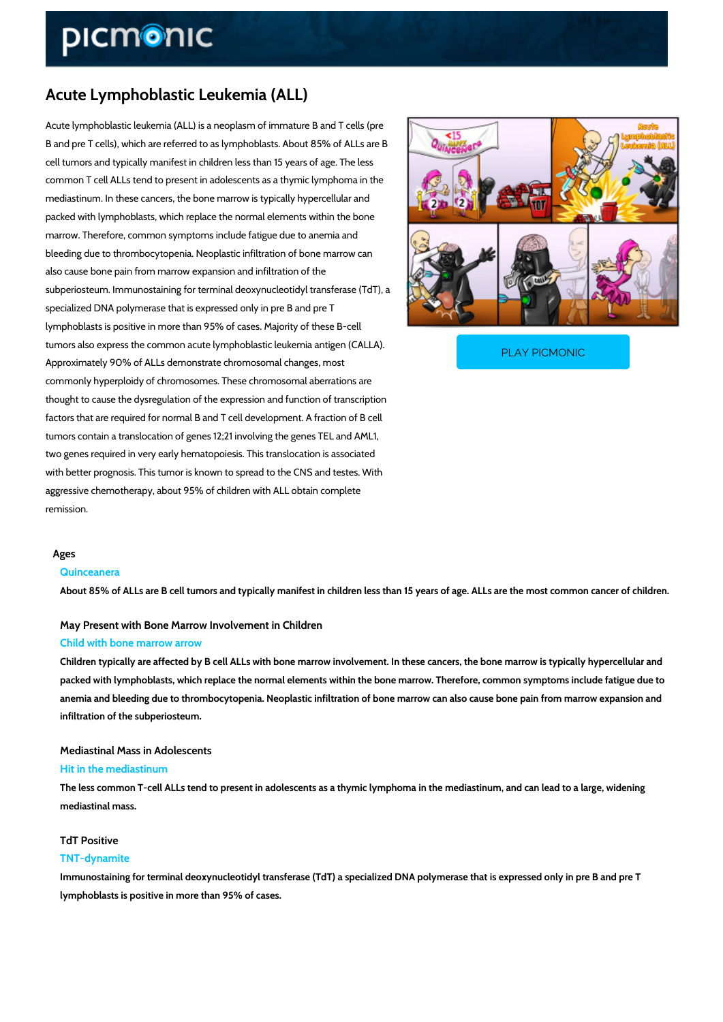## Acute Lymphoblastic Leukemia (ALL)

Acute lymphoblastic leukemia (ALL) is a neoplasm of immature B and T cells (pre B and pre T cells), which are referred to as lymphoblasts. About 85% of ALLs are B cell tumors and typically manifest in children less than 15 years of age. The less common T cell ALLs tend to present in adolescents as a thymic lymphoma in the mediastinum. In these cancers, the bone marrow is typically hypercellular and packed with lymphoblasts, which replace the normal elements within the bone marrow. Therefore, common symptoms include fatigue due to anemia and bleeding due to thrombocytopenia. Neoplastic infiltration of bone marrow can also cause bone pain from marrow expansion and infiltration of the subperiosteum. Immunostaining for terminal deoxynucleotidyl transferase (TdT), a specialized DNA polymerase that is expressed only in pre B and pre T lymphoblasts is positive in more than 95% of cases. Majority of these B-cell tumors also express the common acute lymphoblastic leuk

Approximately 90% of ALLs demonstrate chromosomal cha

PLAY PICMONIC

commonly hyperploidy of chromosomes. These chromosomal aberrations are thought to cause the dysregulation of the expression and function of transcription factors that are required for normal B and T cell development. A fraction of B cell tumors contain a translocation of genes 12;21 involving the genes TEL and AML1, two genes required in very early hematopoiesis. This translocation is associated with better prognosis. This tumor is known to spread to the CNS and testes. With aggressive chemotherapy, about 95% of children with ALL obtain complete remission.

#### Ages

#### Quinceanera

About 85% of ALLs are B cell tumors and typically manifest in children less than 15 years of

# May Present with Bone Marrow Involvement in Children

### Child with bone marrow arrow

Children typically are affected by B cell ALLs with bone marrow involvement. In these cancer packed with lymphoblasts, which replace the normal elements within the bone marrow. Theref anemia and bleeding due to thrombocytopenia. Neoplastic infiltration of bone marrow can als infiltration of the subperiosteum.

# Mediastinal Mass in Adolescents

### Hit in the mediastinum

The less common T-cell ALLs tend to present in adolescents as a thymic lymphoma in the me mediastinal mass.

### TdT Positive

#### TNT-dynamite

Immunostaining for terminal deoxynucleotidyl transferase (TdT) a specialized DNA polymeras lymphoblasts is positive in more than 95% of cases.